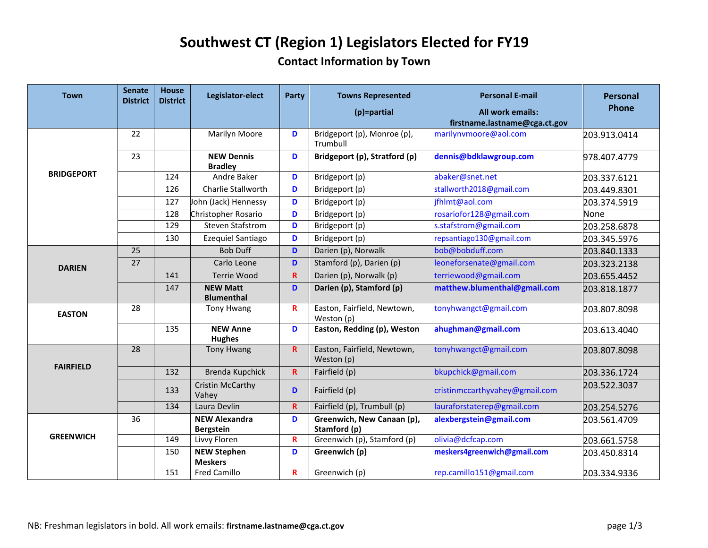# **Southwest CT (Region 1) Legislators Elected for FY19**

### **Contact Information by Town**

| <b>Town</b>       | <b>Senate</b><br><b>District</b> | <b>House</b><br><b>District</b> | Legislator-elect                         | <b>Party</b> | <b>Towns Represented</b>                   | <b>Personal E-mail</b>         | Personal     |
|-------------------|----------------------------------|---------------------------------|------------------------------------------|--------------|--------------------------------------------|--------------------------------|--------------|
|                   |                                  |                                 |                                          |              | (p)=partial                                | All work emails:               | Phone        |
|                   |                                  |                                 |                                          |              |                                            | firstname.lastname@cga.ct.gov  |              |
|                   | 22                               |                                 | Marilyn Moore                            | D            | Bridgeport (p), Monroe (p),<br>Trumbull    | marilynvmoore@aol.com          | 203.913.0414 |
|                   | 23                               |                                 | <b>NEW Dennis</b><br><b>Bradley</b>      | D            | Bridgeport (p), Stratford (p)              | dennis@bdklawgroup.com         | 978.407.4779 |
| <b>BRIDGEPORT</b> |                                  | 124                             | Andre Baker                              | D            | Bridgeport (p)                             | abaker@snet.net                | 203.337.6121 |
|                   |                                  | 126                             | Charlie Stallworth                       | D            | Bridgeport (p)                             | stallworth2018@gmail.com       | 203.449.8301 |
|                   |                                  | 127                             | John (Jack) Hennessy                     | D            | Bridgeport (p)                             | ifhlmt@aol.com                 | 203.374.5919 |
|                   |                                  | 128                             | Christopher Rosario                      | D            | Bridgeport (p)                             | rosariofor128@gmail.com        | None         |
|                   |                                  | 129                             | <b>Steven Stafstrom</b>                  | D            | Bridgeport (p)                             | s.stafstrom@gmail.com          | 203.258.6878 |
|                   |                                  | 130                             | Ezequiel Santiago                        | D            | Bridgeport (p)                             | repsantiago130@gmail.com       | 203.345.5976 |
|                   | 25                               |                                 | <b>Bob Duff</b>                          | D            | Darien (p), Norwalk                        | bob@bobduff.com                | 203.840.1333 |
| <b>DARIEN</b>     | 27                               |                                 | Carlo Leone                              | D            | Stamford (p), Darien (p)                   | leoneforsenate@gmail.com       | 203.323.2138 |
|                   |                                  | 141                             | <b>Terrie Wood</b>                       | $\mathbf R$  | Darien (p), Norwalk (p)                    | terriewood@gmail.com           | 203.655.4452 |
|                   |                                  | 147                             | <b>NEW Matt</b><br><b>Blumenthal</b>     | D            | Darien (p), Stamford (p)                   | matthew.blumenthal@gmail.com   | 203.818.1877 |
| <b>EASTON</b>     | 28                               |                                 | Tony Hwang                               | R            | Easton, Fairfield, Newtown,<br>Weston (p)  | tonyhwangct@gmail.com          | 203.807.8098 |
|                   |                                  | 135                             | <b>NEW Anne</b><br><b>Hughes</b>         | D            | Easton, Redding (p), Weston                | ahughman@gmail.com             | 203.613.4040 |
| <b>FAIRFIELD</b>  | 28                               |                                 | <b>Tony Hwang</b>                        | $\mathbf R$  | Easton, Fairfield, Newtown,<br>Weston (p)  | tonyhwangct@gmail.com          | 203.807.8098 |
|                   |                                  | 132                             | <b>Brenda Kupchick</b>                   | $\mathbf R$  | Fairfield (p)                              | bkupchick@gmail.com            | 203.336.1724 |
|                   |                                  | 133                             | Cristin McCarthy<br>Vahey                | D            | Fairfield (p)                              | cristinmccarthyvahey@gmail.com | 203.522.3037 |
|                   |                                  | 134                             | Laura Devlin                             | $\mathbf R$  | Fairfield (p), Trumbull (p)                | auraforstaterep@gmail.com      | 203.254.5276 |
| <b>GREENWICH</b>  | 36                               |                                 | <b>NEW Alexandra</b><br><b>Bergstein</b> | D            | Greenwich, New Canaan (p),<br>Stamford (p) | alexbergstein@gmail.com        | 203.561.4709 |
|                   |                                  | 149                             | Livvy Floren                             | $\mathbf R$  | Greenwich (p), Stamford (p)                | olivia@dcfcap.com              | 203.661.5758 |
|                   |                                  | 150                             | <b>NEW Stephen</b><br><b>Meskers</b>     | D            | Greenwich (p)                              | meskers4greenwich@gmail.com    | 203.450.8314 |
|                   |                                  | 151                             | <b>Fred Camillo</b>                      | $\mathbf R$  | Greenwich (p)                              | rep.camillo151@gmail.com       | 203.334.9336 |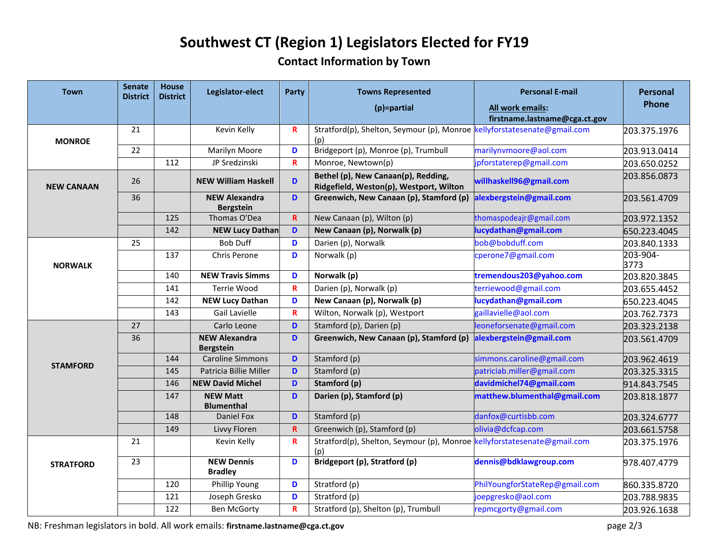# **Southwest CT (Region 1) Legislators Elected for FY19**

### **Contact Information by Town**

| <b>Town</b>       | <b>Senate</b><br><b>District</b> | <b>House</b><br><b>District</b> | Legislator-elect                         | Party       | <b>Towns Represented</b>                                                        | <b>Personal E-mail</b>                            | Personal         |
|-------------------|----------------------------------|---------------------------------|------------------------------------------|-------------|---------------------------------------------------------------------------------|---------------------------------------------------|------------------|
|                   |                                  |                                 |                                          |             | (p)=partial                                                                     | All work emails:<br>firstname.lastname@cga.ct.gov | Phone            |
| <b>MONROE</b>     | 21                               |                                 | Kevin Kelly                              | R           | Stratford(p), Shelton, Seymour (p), Monroe kellyforstatesenate@gmail.com<br>(p) |                                                   | 203.375.1976     |
|                   | 22                               |                                 | Marilyn Moore                            | D           | Bridgeport (p), Monroe (p), Trumbull                                            | marilynvmoore@aol.com                             | 203.913.0414     |
|                   |                                  | 112                             | JP Sredzinski                            | $\mathbf R$ | Monroe, Newtown(p)                                                              | jpforstaterep@gmail.com                           | 203.650.0252     |
| <b>NEW CANAAN</b> | 26                               |                                 | <b>NEW William Haskell</b>               | $\mathbf D$ | Bethel (p), New Canaan(p), Redding,<br>Ridgefield, Weston(p), Westport, Wilton  | willhaskell96@gmail.com                           | 203.856.0873     |
|                   | 36                               |                                 | <b>NEW Alexandra</b><br><b>Bergstein</b> | $\mathbf D$ | Greenwich, New Canaan (p), Stamford (p)                                         | alexbergstein@gmail.com                           | 203.561.4709     |
|                   |                                  | 125                             | Thomas O'Dea                             | $\mathbf R$ | New Canaan (p), Wilton (p)                                                      | thomaspodeajr@gmail.com                           | 203.972.1352     |
|                   |                                  | 142                             | <b>NEW Lucy Dathan</b>                   | D           | New Canaan (p), Norwalk (p)                                                     | lucydathan@gmail.com                              | 650.223.4045     |
|                   | 25                               |                                 | <b>Bob Duff</b>                          | D           | Darien (p), Norwalk                                                             | bob@bobduff.com                                   | 203.840.1333     |
| <b>NORWALK</b>    |                                  | 137                             | Chris Perone                             | D           | Norwalk (p)                                                                     | cperone7@gmail.com                                | 203-904-<br>3773 |
|                   |                                  | 140                             | <b>NEW Travis Simms</b>                  | D           | Norwalk (p)                                                                     | tremendous203@yahoo.com                           | 203.820.3845     |
|                   |                                  | 141                             | Terrie Wood                              | $\mathbf R$ | Darien (p), Norwalk (p)                                                         | terriewood@gmail.com                              | 203.655.4452     |
|                   |                                  | 142                             | <b>NEW Lucy Dathan</b>                   | D           | New Canaan (p), Norwalk (p)                                                     | lucydathan@gmail.com                              | 650.223.4045     |
|                   |                                  | 143                             | Gail Lavielle                            | $\mathbf R$ | Wilton, Norwalk (p), Westport                                                   | gaillavielle@aol.com                              | 203.762.7373     |
|                   | 27                               |                                 | Carlo Leone                              | D           | Stamford (p), Darien (p)                                                        | leoneforsenate@gmail.com                          | 203.323.2138     |
|                   | 36                               |                                 | <b>NEW Alexandra</b><br><b>Bergstein</b> | D           | Greenwich, New Canaan (p), Stamford (p)                                         | alexbergstein@gmail.com                           | 203.561.4709     |
| <b>STAMFORD</b>   |                                  | 144                             | <b>Caroline Simmons</b>                  | $\mathbf D$ | Stamford (p)                                                                    | simmons.caroline@gmail.com                        | 203.962.4619     |
|                   |                                  | 145                             | Patricia Billie Miller                   | D           | Stamford (p)                                                                    | patriciab.miller@gmail.com                        | 203.325.3315     |
|                   |                                  | 146                             | <b>NEW David Michel</b>                  | D           | Stamford (p)                                                                    | davidmichel74@gmail.com                           | 914.843.7545     |
|                   |                                  | 147                             | <b>NEW Matt</b><br><b>Blumenthal</b>     | D           | Darien (p), Stamford (p)                                                        | matthew.blumenthal@gmail.com                      | 203.818.1877     |
|                   |                                  | 148                             | Daniel Fox                               | D           | Stamford (p)                                                                    | danfox@curtisbb.com                               | 203.324.6777     |
|                   |                                  | 149                             | Livvy Floren                             | $\mathbf R$ | Greenwich (p), Stamford (p)                                                     | olivia@dcfcap.com                                 | 203.661.5758     |
|                   | 21                               |                                 | Kevin Kelly                              | R           | Stratford(p), Shelton, Seymour (p), Monroe kellyforstatesenate@gmail.com<br>(p) |                                                   | 203.375.1976     |
| <b>STRATFORD</b>  | 23                               |                                 | <b>NEW Dennis</b><br><b>Bradley</b>      | D           | Bridgeport (p), Stratford (p)                                                   | dennis@bdklawgroup.com                            | 978.407.4779     |
|                   |                                  | 120                             | Phillip Young                            | D           | Stratford (p)                                                                   | PhilYoungforStateRep@gmail.com                    | 860.335.8720     |
|                   |                                  | 121                             | Joseph Gresko                            | D           | Stratford (p)                                                                   | joepgresko@aol.com                                | 203.788.9835     |
|                   |                                  | 122                             | <b>Ben McGorty</b>                       | ${\bf R}$   | Stratford (p), Shelton (p), Trumbull                                            | repmcgorty@gmail.com                              | 203.926.1638     |

NB: Freshman legislators in bold. All work emails: firstname.lastname@cga.ct.gov **page 211** page 2/3